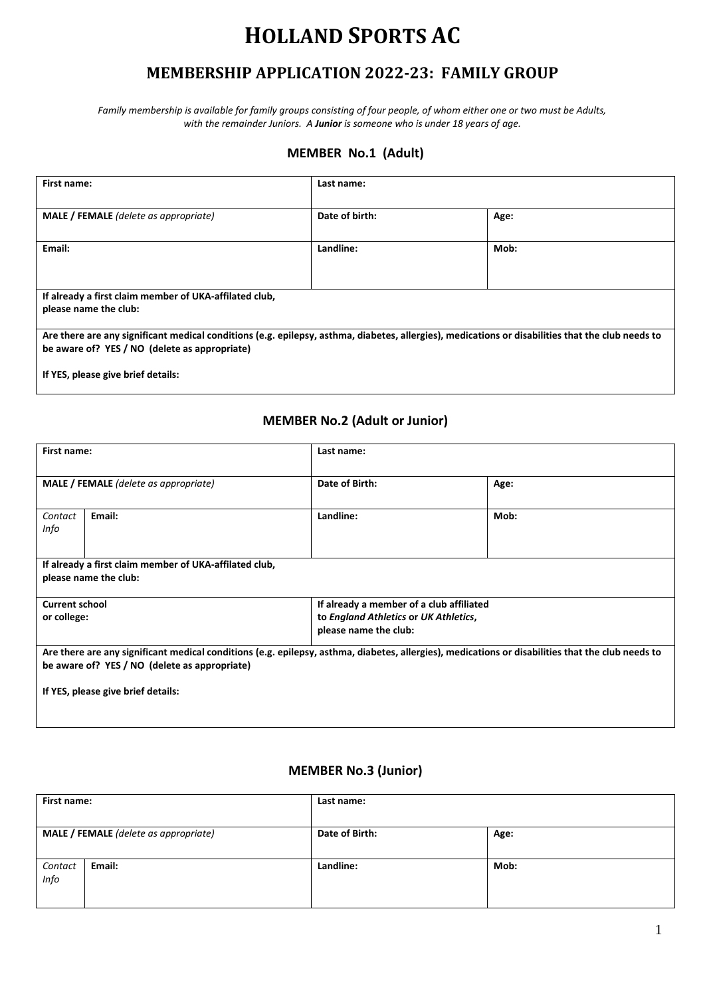# **HOLLAND SPORTS AC**

## **MEMBERSHIP APPLICATION 2022-23: FAMILY GROUP**

*Family membership is available for family groups consisting of four people, of whom either one or two must be Adults, with the remainder Juniors. A Junior is someone who is under 18 years of age.*

#### **MEMBER No.1 (Adult)**

| First name:                                                                                                                                                                                        | Last name:     |      |  |
|----------------------------------------------------------------------------------------------------------------------------------------------------------------------------------------------------|----------------|------|--|
| <b>MALE</b> / FEMALE (delete as appropriate)                                                                                                                                                       | Date of birth: | Age: |  |
| Email:                                                                                                                                                                                             | Landline:      | Mob: |  |
| If already a first claim member of UKA-affilated club,<br>please name the club:                                                                                                                    |                |      |  |
| Are there are any significant medical conditions (e.g. epilepsy, asthma, diabetes, allergies), medications or disabilities that the club needs to<br>be aware of? YES / NO (delete as appropriate) |                |      |  |
| If YES, please give brief details:                                                                                                                                                                 |                |      |  |

#### **MEMBER No.2 (Adult or Junior)**

| First name:                                                                                                                                       |                                                                   | Last name:                                                     |      |  |
|---------------------------------------------------------------------------------------------------------------------------------------------------|-------------------------------------------------------------------|----------------------------------------------------------------|------|--|
| <b>MALE</b> / FEMALE (delete as appropriate)                                                                                                      |                                                                   | Date of Birth:                                                 | Age: |  |
| Contact<br>Info                                                                                                                                   | Email:                                                            | Landline:                                                      | Mob: |  |
|                                                                                                                                                   | If already a first claim member of UKA-affilated club,            |                                                                |      |  |
|                                                                                                                                                   | please name the club:                                             |                                                                |      |  |
|                                                                                                                                                   | <b>Current school</b><br>If already a member of a club affiliated |                                                                |      |  |
| or college:                                                                                                                                       |                                                                   | to England Athletics or UK Athletics,<br>please name the club: |      |  |
| Are there are any significant medical conditions (e.g. epilepsy, asthma, diabetes, allergies), medications or disabilities that the club needs to |                                                                   |                                                                |      |  |
| be aware of? YES / NO (delete as appropriate)                                                                                                     |                                                                   |                                                                |      |  |
| If YES, please give brief details:                                                                                                                |                                                                   |                                                                |      |  |

#### **MEMBER No.3 (Junior)**

| First name: |                                       | Last name:     |      |
|-------------|---------------------------------------|----------------|------|
|             |                                       |                |      |
|             | MALE / FEMALE (delete as appropriate) | Date of Birth: | Age: |
|             |                                       |                |      |
| Contact     | Email:                                | Landline:      | Mob: |
| Info        |                                       |                |      |
|             |                                       |                |      |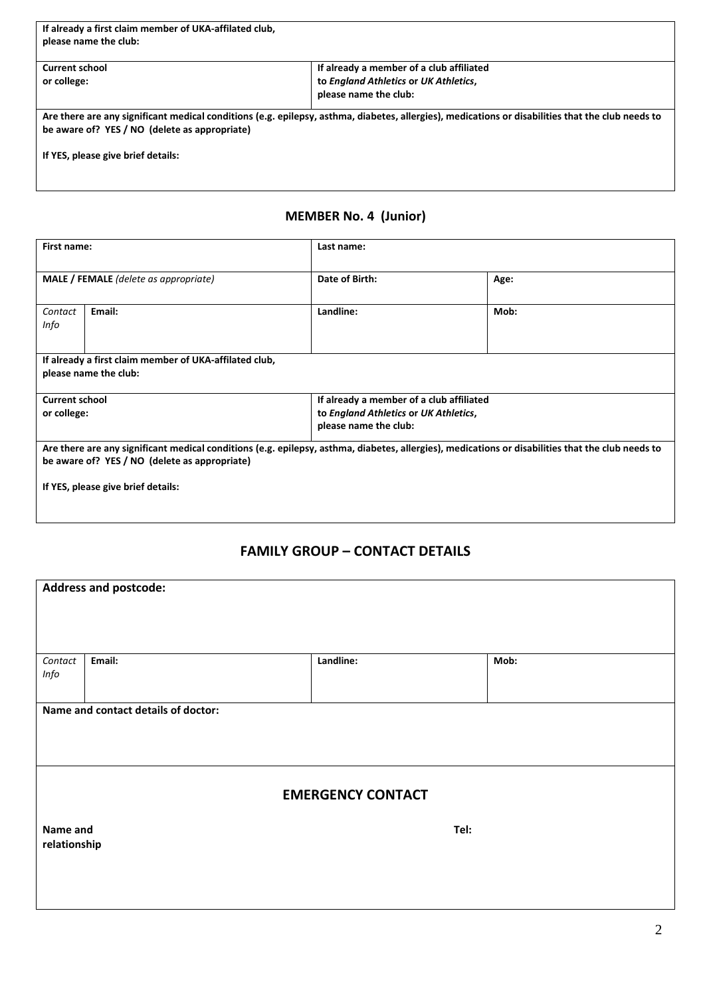| If already a first claim member of UKA-affilated club,<br>please name the club:     |                                                                                                                                                   |
|-------------------------------------------------------------------------------------|---------------------------------------------------------------------------------------------------------------------------------------------------|
| <b>Current school</b>                                                               | If already a member of a club affiliated                                                                                                          |
| or college:                                                                         | to England Athletics or UK Athletics,                                                                                                             |
|                                                                                     | please name the club:                                                                                                                             |
| be aware of? YES / NO (delete as appropriate)<br>If YES, please give brief details: | Are there are any significant medical conditions (e.g. epilepsy, asthma, diabetes, allergies), medications or disabilities that the club needs to |

## **MEMBER No. 4 (Junior)**

| First name:                                                                                                                                                                                        |        | Last name:                                                                                                 |      |
|----------------------------------------------------------------------------------------------------------------------------------------------------------------------------------------------------|--------|------------------------------------------------------------------------------------------------------------|------|
| <b>MALE</b> / FEMALE (delete as appropriate)                                                                                                                                                       |        | Date of Birth:                                                                                             | Age: |
| Contact<br>Info                                                                                                                                                                                    | Email: | Landline:                                                                                                  | Mob: |
| If already a first claim member of UKA-affilated club,<br>please name the club:                                                                                                                    |        |                                                                                                            |      |
| <b>Current school</b><br>or college:                                                                                                                                                               |        | If already a member of a club affiliated<br>to England Athletics or UK Athletics,<br>please name the club: |      |
| Are there are any significant medical conditions (e.g. epilepsy, asthma, diabetes, allergies), medications or disabilities that the club needs to<br>be aware of? YES / NO (delete as appropriate) |        |                                                                                                            |      |
| If YES, please give brief details:                                                                                                                                                                 |        |                                                                                                            |      |

### **FAMILY GROUP – CONTACT DETAILS**

| <b>Address and postcode:</b> |                                     |                          |      |
|------------------------------|-------------------------------------|--------------------------|------|
|                              |                                     |                          |      |
|                              |                                     |                          |      |
|                              |                                     |                          |      |
|                              |                                     |                          |      |
| Email:<br>Contact            |                                     | Landline:                | Mob: |
| Info                         |                                     |                          |      |
|                              |                                     |                          |      |
|                              | Name and contact details of doctor: |                          |      |
|                              |                                     |                          |      |
|                              |                                     |                          |      |
|                              |                                     |                          |      |
|                              |                                     |                          |      |
|                              |                                     | <b>EMERGENCY CONTACT</b> |      |
|                              |                                     |                          |      |
| Name and                     |                                     | Tel:                     |      |
| relationship                 |                                     |                          |      |
|                              |                                     |                          |      |
|                              |                                     |                          |      |
|                              |                                     |                          |      |
|                              |                                     |                          |      |